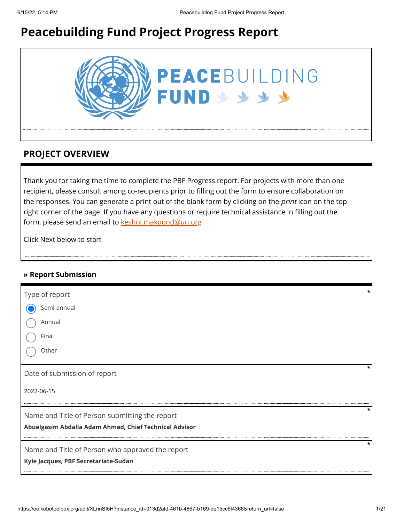# **Peacebuilding Fund Project Progress Report**



### **PROJECT OVERVIEW**

Thank you for taking the time to complete the PBF Progress report. For projects with more than one recipient, please consult among co-recipients prior to filling out the form to ensure collaboration on the responses. You can generate a print out of the blank form by clicking on the *print* icon on the top right corner of the page. If you have any questions or require technical assistance in filling out the form, please send an email to [keshni.makoond@un.org](https://ee.kobotoolbox.org/edit/keshni.makoond@un.org)

Click Next below to start

#### **» Report Submission**

| Type of report                                         |  |
|--------------------------------------------------------|--|
| Semi-annual                                            |  |
|                                                        |  |
| Annual                                                 |  |
| Final                                                  |  |
| Other                                                  |  |
| Date of submission of report                           |  |
| 2022-06-15                                             |  |
| *<br>Name and Title of Person submitting the report    |  |
| Abuelgasim Abdalla Adam Ahmed, Chief Technical Advisor |  |
| Name and Title of Person who approved the report       |  |
| Kyle Jacques, PBF Secretariate-Sudan                   |  |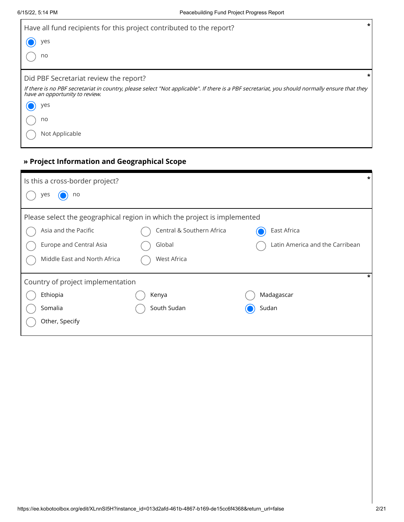| Have all fund recipients for this project contributed to the report?                                                                                                             | $\star$ |
|----------------------------------------------------------------------------------------------------------------------------------------------------------------------------------|---------|
| yes                                                                                                                                                                              |         |
| no                                                                                                                                                                               |         |
| Did PBF Secretariat review the report?                                                                                                                                           |         |
| If there is no PBF secretariat in country, please select "Not applicable". If there is a PBF secretariat, you should normally ensure that they<br>have an opportunity to review. |         |
| yes                                                                                                                                                                              |         |
| no                                                                                                                                                                               |         |
| Not Applicable                                                                                                                                                                   |         |

### **» Project Information and Geographical Scope**

| Is this a cross-border project?                                           |                           |                                 |
|---------------------------------------------------------------------------|---------------------------|---------------------------------|
| yes<br>no                                                                 |                           |                                 |
| Please select the geographical region in which the project is implemented |                           |                                 |
| Asia and the Pacific                                                      | Central & Southern Africa | East Africa                     |
| <b>Europe and Central Asia</b>                                            | Global                    | Latin America and the Carribean |
| Middle East and North Africa                                              | West Africa               |                                 |
| Country of project implementation                                         |                           | *                               |
| Ethiopia                                                                  | Kenya                     | Madagascar                      |
| Somalia                                                                   | South Sudan               | Sudan                           |
| Other, Specify                                                            |                           |                                 |
|                                                                           |                           |                                 |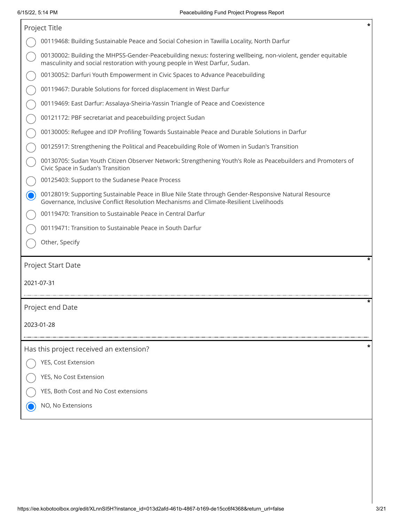|            | *<br>Project Title                                                                                                                                                                             |
|------------|------------------------------------------------------------------------------------------------------------------------------------------------------------------------------------------------|
|            | 00119468: Building Sustainable Peace and Social Cohesion in Tawilla Locality, North Darfur                                                                                                     |
|            | 00130002: Building the MHPSS-Gender-Peacebuilding nexus: fostering wellbeing, non-violent, gender equitable<br>masculinity and social restoration with young people in West Darfur, Sudan.     |
|            | 00130052: Darfuri Youth Empowerment in Civic Spaces to Advance Peacebuilding                                                                                                                   |
|            | 00119467: Durable Solutions for forced displacement in West Darfur                                                                                                                             |
|            | 00119469: East Darfur: Assalaya-Sheiria-Yassin Triangle of Peace and Coexistence                                                                                                               |
|            | 00121172: PBF secretariat and peacebuilding project Sudan                                                                                                                                      |
|            | 00130005: Refugee and IDP Profiling Towards Sustainable Peace and Durable Solutions in Darfur                                                                                                  |
|            | 00125917: Strengthening the Political and Peacebuilding Role of Women in Sudan's Transition                                                                                                    |
|            | 00130705: Sudan Youth Citizen Observer Network: Strengthening Youth's Role as Peacebuilders and Promoters of<br>Civic Space in Sudan's Transition                                              |
|            | 00125403: Support to the Sudanese Peace Process                                                                                                                                                |
|            | 00128019: Supporting Sustainable Peace in Blue Nile State through Gender-Responsive Natural Resource<br>Governance, Inclusive Conflict Resolution Mechanisms and Climate-Resilient Livelihoods |
|            | 00119470: Transition to Sustainable Peace in Central Darfur                                                                                                                                    |
|            | 00119471: Transition to Sustainable Peace in South Darfur                                                                                                                                      |
|            | Other, Specify                                                                                                                                                                                 |
|            | *<br>Project Start Date                                                                                                                                                                        |
| 2021-07-31 |                                                                                                                                                                                                |
|            | *                                                                                                                                                                                              |
|            | Project end Date                                                                                                                                                                               |
|            | 2023-01-28                                                                                                                                                                                     |
|            |                                                                                                                                                                                                |
|            | Has this project received an extension?                                                                                                                                                        |
|            | YES, Cost Extension                                                                                                                                                                            |
|            | YES, No Cost Extension                                                                                                                                                                         |
|            | YES, Both Cost and No Cost extensions                                                                                                                                                          |
|            | NO, No Extensions                                                                                                                                                                              |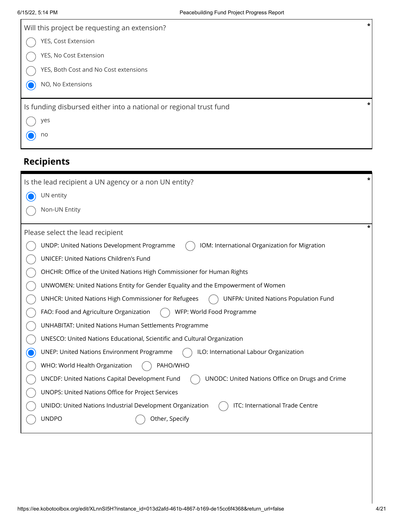| Will this project be requesting an extension?                      | $\ast$ |
|--------------------------------------------------------------------|--------|
| YES, Cost Extension                                                |        |
| YES, No Cost Extension                                             |        |
| YES, Both Cost and No Cost extensions                              |        |
| NO, No Extensions                                                  |        |
|                                                                    | $\ast$ |
| Is funding disbursed either into a national or regional trust fund |        |
| yes                                                                |        |
| no                                                                 |        |
|                                                                    |        |

# **Recipients**

| Is the lead recipient a UN agency or a non UN entity?                                                | * |
|------------------------------------------------------------------------------------------------------|---|
| UN entity                                                                                            |   |
| Non-UN Entity                                                                                        |   |
| Please select the lead recipient                                                                     |   |
| UNDP: United Nations Development Programme<br>IOM: International Organization for Migration          |   |
| UNICEF: United Nations Children's Fund                                                               |   |
| OHCHR: Office of the United Nations High Commissioner for Human Rights                               |   |
| UNWOMEN: United Nations Entity for Gender Equality and the Empowerment of Women                      |   |
| UNHCR: United Nations High Commissioner for Refugees<br><b>UNFPA: United Nations Population Fund</b> |   |
| WFP: World Food Programme<br>FAO: Food and Agriculture Organization                                  |   |
| <b>UNHABITAT: United Nations Human Settlements Programme</b>                                         |   |
| UNESCO: United Nations Educational, Scientific and Cultural Organization                             |   |
| ILO: International Labour Organization<br><b>UNEP: United Nations Environment Programme</b>          |   |
| PAHO/WHO<br>WHO: World Health Organization                                                           |   |
| UNODC: United Nations Office on Drugs and Crime<br>UNCDF: United Nations Capital Development Fund    |   |
| UNOPS: United Nations Office for Project Services                                                    |   |
| ITC: International Trade Centre<br>UNIDO: United Nations Industrial Development Organization         |   |
| <b>UNDPO</b><br>Other, Specify                                                                       |   |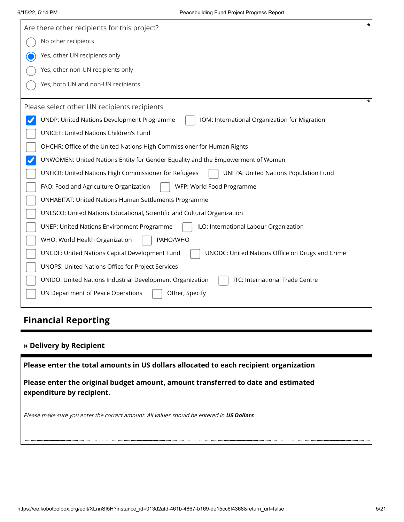| $\star$<br>Are there other recipients for this project?                                              |
|------------------------------------------------------------------------------------------------------|
| No other recipients                                                                                  |
| Yes, other UN recipients only                                                                        |
| Yes, other non-UN recipients only                                                                    |
| Yes, both UN and non-UN recipients                                                                   |
| ÷<br>Please select other UN recipients recipients                                                    |
| UNDP: United Nations Development Programme<br>IOM: International Organization for Migration          |
| UNICEF: United Nations Children's Fund                                                               |
| OHCHR: Office of the United Nations High Commissioner for Human Rights                               |
| UNWOMEN: United Nations Entity for Gender Equality and the Empowerment of Women                      |
| <b>UNFPA: United Nations Population Fund</b><br>UNHCR: United Nations High Commissioner for Refugees |
| FAO: Food and Agriculture Organization<br>WFP: World Food Programme                                  |
| <b>UNHABITAT: United Nations Human Settlements Programme</b>                                         |
| UNESCO: United Nations Educational, Scientific and Cultural Organization                             |
| ILO: International Labour Organization<br><b>UNEP: United Nations Environment Programme</b>          |
| PAHO/WHO<br>WHO: World Health Organization                                                           |
| UNCDF: United Nations Capital Development Fund<br>UNODC: United Nations Office on Drugs and Crime    |
| UNOPS: United Nations Office for Project Services                                                    |
| ITC: International Trade Centre<br>UNIDO: United Nations Industrial Development Organization         |
| UN Department of Peace Operations<br>Other, Specify                                                  |

# **Financial Reporting**

### **» Delivery by Recipient**

**Please enter the total amounts in US dollars allocated to each recipient organization**

**Please enter the original budget amount, amount transferred to date and estimated expenditure by recipient.**

Please make sure you enter the correct amount. All values should be entered in **US Dollars**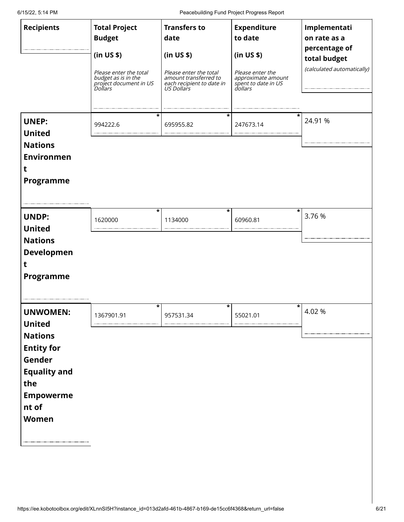6/15/22, 5:14 PM Peacebuilding Fund Project Progress Report

| <b>Recipients</b>                                                                                                                                     | <b>Total Project</b><br><b>Budget</b>                                                            | <b>Transfers to</b><br>date                                                                              | <b>Expenditure</b><br>to date                                                          | Implementati<br>on rate as a<br>percentage of |
|-------------------------------------------------------------------------------------------------------------------------------------------------------|--------------------------------------------------------------------------------------------------|----------------------------------------------------------------------------------------------------------|----------------------------------------------------------------------------------------|-----------------------------------------------|
|                                                                                                                                                       | (in US \$)<br>Please enter the total<br>budget as is in the<br>project document in US<br>Dollars | (in US \$)<br>Please enter the total<br>amount transferred to<br>each recipient to date in<br>US Dollars | (in US \$)<br>Please enter the<br>approximate amount<br>spent to date in US<br>dollars | total budget<br>(calculated automatically)    |
| <b>UNEP:</b><br><b>United</b><br><b>Nations</b><br><b>Environmen</b><br>t<br>Programme                                                                | *<br>994222.6                                                                                    | *<br>695955.82                                                                                           | 247673.14                                                                              | 24.91 %                                       |
| <b>UNDP:</b><br><b>United</b><br><b>Nations</b><br><b>Developmen</b><br>t<br>Programme                                                                | *<br>1620000                                                                                     | *<br>1134000                                                                                             | *<br>60960.81                                                                          | 3.76 %                                        |
| <b>UNWOMEN:</b><br><b>United</b><br><b>Nations</b><br><b>Entity for</b><br>Gender<br><b>Equality and</b><br>the<br><b>Empowerme</b><br>nt of<br>Women | *<br>1367901.91                                                                                  | *<br>957531.34                                                                                           | *<br>55021.01                                                                          | 4.02 %                                        |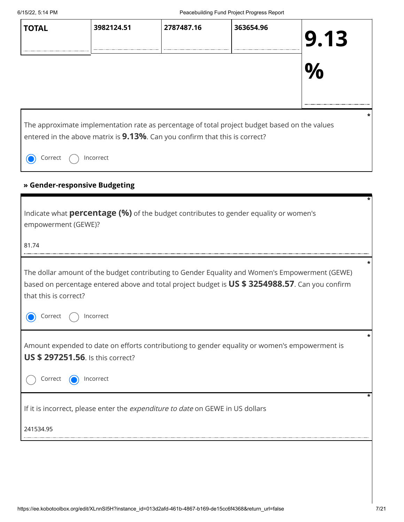| 6/15/22, 5:14 PM                                      |                                          |                                                                                                                                                                                                   | Peacebuilding Fund Project Progress Report |      |
|-------------------------------------------------------|------------------------------------------|---------------------------------------------------------------------------------------------------------------------------------------------------------------------------------------------------|--------------------------------------------|------|
| <b>TOTAL</b>                                          | 3982124.51                               | 2787487.16                                                                                                                                                                                        | 363654.96                                  | 9.13 |
|                                                       |                                          |                                                                                                                                                                                                   |                                            |      |
|                                                       |                                          | The approximate implementation rate as percentage of total project budget based on the values                                                                                                     |                                            |      |
| Correct                                               | Incorrect                                | entered in the above matrix is 9.13%. Can you confirm that this is correct?                                                                                                                       |                                            |      |
|                                                       |                                          |                                                                                                                                                                                                   |                                            |      |
|                                                       | » Gender-responsive Budgeting            |                                                                                                                                                                                                   |                                            |      |
|                                                       |                                          | Indicate what <b>percentage (%)</b> of the budget contributes to gender equality or women's                                                                                                       |                                            |      |
|                                                       |                                          |                                                                                                                                                                                                   |                                            |      |
|                                                       |                                          |                                                                                                                                                                                                   |                                            |      |
|                                                       |                                          | The dollar amount of the budget contributing to Gender Equality and Women's Empowerment (GEWE)<br>based on percentage entered above and total project budget is US \$ 3254988.57. Can you confirm |                                            |      |
| Correct                                               | Incorrect                                |                                                                                                                                                                                                   |                                            |      |
|                                                       | <b>US \$ 297251.56.</b> Is this correct? | Amount expended to date on efforts contributiong to gender equality or women's empowerment is                                                                                                     |                                            |      |
| Correct                                               | Incorrect                                |                                                                                                                                                                                                   |                                            |      |
| empowerment (GEWE)?<br>81.74<br>that this is correct? |                                          | If it is incorrect, please enter the expenditure to date on GEWE in US dollars                                                                                                                    |                                            |      |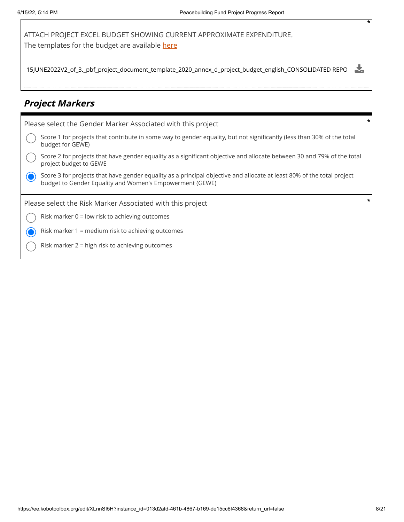ATTACH PROJECT EXCEL BUDGET SHOWING CURRENT APPROXIMATE EXPENDITURE. The templates for the budget are available [here](https://www.un.org/peacebuilding/content/application-guidelines)

15JUNE2022V2\_of\_3.\_pbf\_project\_document\_template\_2020\_annex\_d\_project\_budget\_english\_CONSOLIDATED REPO 志

### **Project Markers**

| Please select the Gender Marker Associated with this project                                                                                                                       |  |
|------------------------------------------------------------------------------------------------------------------------------------------------------------------------------------|--|
| Score 1 for projects that contribute in some way to gender equality, but not significantly (less than 30% of the total<br>budget for GEWE)                                         |  |
| Score 2 for projects that have gender equality as a significant objective and allocate between 30 and 79% of the total<br>project budget to GEWE                                   |  |
| Score 3 for projects that have gender equality as a principal objective and allocate at least 80% of the total project<br>budget to Gender Equality and Women's Empowerment (GEWE) |  |
|                                                                                                                                                                                    |  |
| Please select the Risk Marker Associated with this project                                                                                                                         |  |
| Risk marker $0 =$ low risk to achieving outcomes                                                                                                                                   |  |
| Risk marker 1 = medium risk to achieving outcomes                                                                                                                                  |  |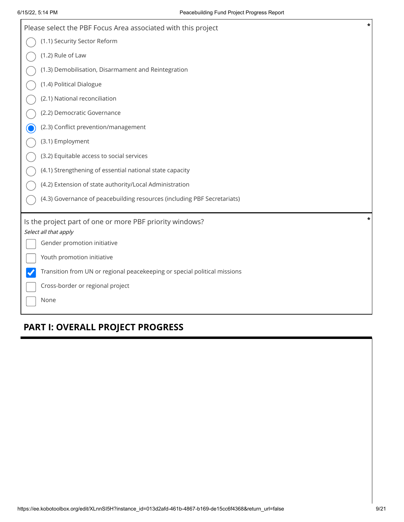| $\ast$<br>Please select the PBF Focus Area associated with this project   |
|---------------------------------------------------------------------------|
| (1.1) Security Sector Reform                                              |
| (1.2) Rule of Law                                                         |
| (1.3) Demobilisation, Disarmament and Reintegration                       |
| (1.4) Political Dialogue                                                  |
| (2.1) National reconciliation                                             |
| (2.2) Democratic Governance                                               |
| (2.3) Conflict prevention/management                                      |
| (3.1) Employment                                                          |
| (3.2) Equitable access to social services                                 |
| (4.1) Strengthening of essential national state capacity                  |
| (4.2) Extension of state authority/Local Administration                   |
| (4.3) Governance of peacebuilding resources (including PBF Secretariats)  |
| *<br>Is the project part of one or more PBF priority windows?             |
| Select all that apply                                                     |
| Gender promotion initiative                                               |
| Youth promotion initiative                                                |
| Transition from UN or regional peacekeeping or special political missions |
| Cross-border or regional project                                          |
| None                                                                      |

# **PART I: OVERALL PROJECT PROGRESS**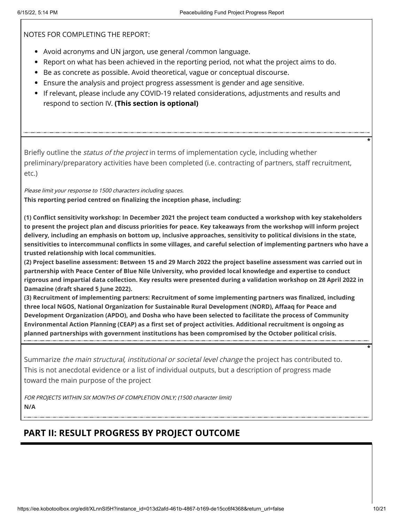NOTES FOR COMPLETING THE REPORT:

- Avoid acronyms and UN jargon, use general /common language.
- Report on what has been achieved in the reporting period, not what the project aims to do.
- Be as concrete as possible. Avoid theoretical, vague or conceptual discourse.
- Ensure the analysis and project progress assessment is gender and age sensitive.
- If relevant, please include any COVID-19 related considerations, adjustments and results and respond to section IV. **(This section is optional)**

Briefly outline the *status of the project* in terms of implementation cycle, including whether preliminary/preparatory activities have been completed (i.e. contracting of partners, staff recruitment, etc.)

Please limit your response to 1500 characters including spaces. **This reporting period centred on finalizing the inception phase, including:** 

**(1) Conflict sensitivity workshop: In December 2021 the project team conducted a workshop with key stakeholders to present the project plan and discuss priorities for peace. Key takeaways from the workshop will inform project delivery, including an emphasis on bottom up, inclusive approaches, sensitivity to political divisions in the state, sensitivities to intercommunal conflicts in some villages, and careful selection of implementing partners who have a trusted relationship with local communities.** 

**(2) Project baseline assessment: Between 15 and 29 March 2022 the project baseline assessment was carried out in partnership with Peace Center of Blue Nile University, who provided local knowledge and expertise to conduct rigorous and impartial data collection. Key results were presented during a validation workshop on 28 April 2022 in Damazine (draft shared 5 June 2022).** 

**(3) Recruitment of implementing partners: Recruitment of some implementing partners was finalized, including three local NGOS, National Organization for Sustainable Rural Development (NORD), Affaaq for Peace and Development Organization (APDO), and Dosha who have been selected to facilitate the process of Community Environmental Action Planning (CEAP) as a first set of project activities. Additional recruitment is ongoing as planned partnerships with government institutions has been compromised by the October political crisis.**

Summarize *the main structural, institutional or societal level change* the project has contributed to. This is not anecdotal evidence or a list of individual outputs, but a description of progress made toward the main purpose of the project

FOR PROJECTS WITHIN SIX MONTHS OF COMPLETION ONLY; (1500 character limit) **N/A**

### **PART II: RESULT PROGRESS BY PROJECT OUTCOME**

**\***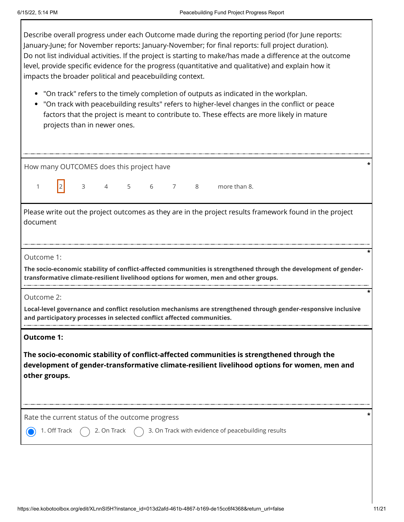Describe overall progress under each Outcome made during the reporting period (for June reports: January-June; for November reports: January-November; for final reports: full project duration). Do not list individual activities. If the project is starting to make/has made a difference at the outcome level, provide specific evidence for the progress (quantitative and qualitative) and explain how it impacts the broader political and peacebuilding context.

- "On track" refers to the timely completion of outputs as indicated in the workplan.
- "On track with peacebuilding results" refers to higher-level changes in the conflict or peace factors that the project is meant to contribute to. These effects are more likely in mature projects than in newer ones.

| How many OUTCOMES does this project have                                                                                                                                                                                        |
|---------------------------------------------------------------------------------------------------------------------------------------------------------------------------------------------------------------------------------|
| 5<br>6 7<br>3<br>$\overline{4}$<br>8<br>more than 8.<br>1                                                                                                                                                                       |
| Please write out the project outcomes as they are in the project results framework found in the project<br>document                                                                                                             |
| Outcome 1:<br>The socio-economic stability of conflict-affected communities is strengthened through the development of gender-<br>transformative climate-resilient livelihood options for women, men and other groups.          |
| Outcome 2:<br>Local-level governance and conflict resolution mechanisms are strengthened through gender-responsive inclusive<br>and participatory processes in selected conflict affected communities.                          |
| <b>Outcome 1:</b><br>The socio-economic stability of conflict-affected communities is strengthened through the<br>development of gender-transformative climate-resilient livelihood options for women, men and<br>other groups. |
| Rate the current status of the outcome progress<br>3. On Track with evidence of peacebuilding results<br>1. Off Track<br>2. On Track                                                                                            |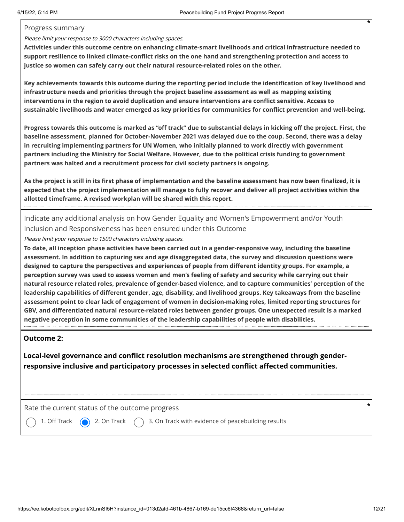#### Progress summary

#### Please limit your response to 3000 characters including spaces.

**Activities under this outcome centre on enhancing climate-smart livelihoods and critical infrastructure needed to support resilience to linked climate-conflict risks on the one hand and strengthening protection and access to justice so women can safely carry out their natural resource-related roles on the other.** 

**Key achievements towards this outcome during the reporting period include the identification of key livelihood and infrastructure needs and priorities through the project baseline assessment as well as mapping existing interventions in the region to avoid duplication and ensure interventions are conflict sensitive. Access to sustainable livelihoods and water emerged as key priorities for communities for conflict prevention and well-being.** 

**Progress towards this outcome is marked as "off track" due to substantial delays in kicking off the project. First, the baseline assessment, planned for October-November 2021 was delayed due to the coup. Second, there was a delay in recruiting implementing partners for UN Women, who initially planned to work directly with government partners including the Ministry for Social Welfare. However, due to the political crisis funding to government partners was halted and a recruitment process for civil society partners is ongoing.** 

**As the project is still in its first phase of implementation and the baseline assessment has now been finalized, it is expected that the project implementation will manage to fully recover and deliver all project activities within the allotted timeframe. A revised workplan will be shared with this report.**

Indicate any additional analysis on how Gender Equality and Women's Empowerment and/or Youth Inclusion and Responsiveness has been ensured under this Outcome

Please limit your response to 1500 characters including spaces.

**To date, all inception phase activities have been carried out in a gender-responsive way, including the baseline assessment. In addition to capturing sex and age disaggregated data, the survey and discussion questions were designed to capture the perspectives and experiences of people from different identity groups. For example, a perception survey was used to assess women and men's feeling of safety and security while carrying out their natural resource related roles, prevalence of gender-based violence, and to capture communities' perception of the leadership capabilities of different gender, age, disability, and livelihood groups. Key takeaways from the baseline assessment point to clear lack of engagement of women in decision-making roles, limited reporting structures for GBV, and differentiated natural resource-related roles between gender groups. One unexpected result is a marked negative perception in some communities of the leadership capabilities of people with disabilities.**

#### **Outcome 2:**

**Local-level governance and conflict resolution mechanisms are strengthened through genderresponsive inclusive and participatory processes in selected conflict affected communities.**

Rate the current status of the outcome progress **\***

1. Off Track  $\bigcirc$  2. On Track  $\bigcirc$  3. On Track with evidence of peacebuilding results

https://ee.kobotoolbox.org/edit/XLnnSI5H?instance\_id=013d2afd-461b-4867-b169-de15cc6f4368&return\_url=false 12/21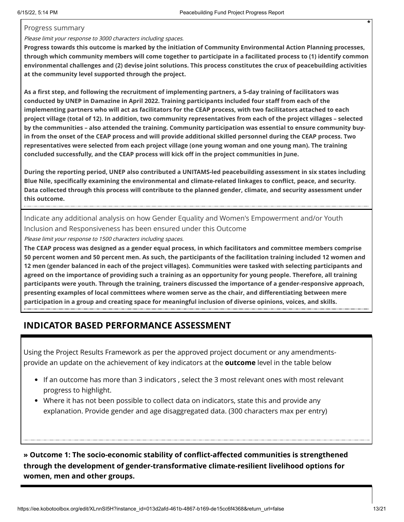#### Progress summary

#### Please limit your response to 3000 characters including spaces.

**Progress towards this outcome is marked by the initiation of Community Environmental Action Planning processes, through which community members will come together to participate in a facilitated process to (1) identify common environmental challenges and (2) devise joint solutions. This process constitutes the crux of peacebuilding activities at the community level supported through the project.** 

**As a first step, and following the recruitment of implementing partners, a 5-day training of facilitators was conducted by UNEP in Damazine in April 2022. Training participants included four staff from each of the implementing partners who will act as facilitators for the CEAP process, with two facilitators attached to each project village (total of 12). In addition, two community representatives from each of the project villages – selected by the communities – also attended the training. Community participation was essential to ensure community buyin from the onset of the CEAP process and will provide additional skilled personnel during the CEAP process. Two representatives were selected from each project village (one young woman and one young man). The training concluded successfully, and the CEAP process will kick off in the project communities in June.** 

**During the reporting period, UNEP also contributed a UNITAMS-led peacebuilding assessment in six states including Blue Nile, specifically examining the environmental and climate-related linkages to conflict, peace, and security. Data collected through this process will contribute to the planned gender, climate, and security assessment under this outcome.**

Indicate any additional analysis on how Gender Equality and Women's Empowerment and/or Youth Inclusion and Responsiveness has been ensured under this Outcome

Please limit your response to 1500 characters including spaces.

**The CEAP process was designed as a gender equal process, in which facilitators and committee members comprise 50 percent women and 50 percent men. As such, the participants of the facilitation training included 12 women and 12 men (gender balanced in each of the project villages). Communities were tasked with selecting participants and agreed on the importance of providing such a training as an opportunity for young people. Therefore, all training participants were youth. Through the training, trainers discussed the importance of a gender-responsive approach, presenting examples of local committees where women serve as the chair, and differentiating between mere participation in a group and creating space for meaningful inclusion of diverse opinions, voices, and skills.**

### **INDICATOR BASED PERFORMANCE ASSESSMENT**

Using the Project Results Framework as per the approved project document or any amendmentsprovide an update on the achievement of key indicators at the **outcome** level in the table below

- If an outcome has more than 3 indicators , select the 3 most relevant ones with most relevant progress to highlight.
- Where it has not been possible to collect data on indicators, state this and provide any explanation. Provide gender and age disaggregated data. (300 characters max per entry)

**» Outcome 1: The socio-economic stability of conflict-affected communities is strengthened through the development of gender-transformative climate-resilient livelihood options for women, men and other groups.**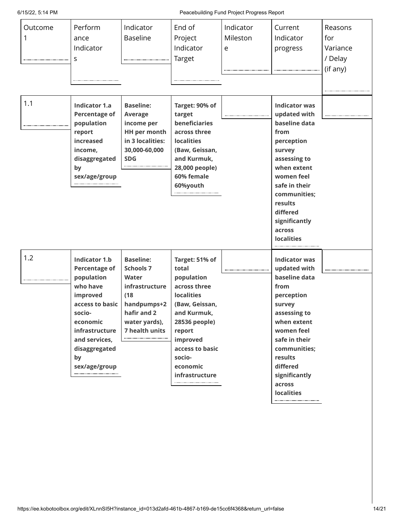6/15/22, 5:14 PM Peacebuilding Fund Project Progress Report

| Outcome<br>1 | Perform<br>ance<br>Indicator<br>s                                                                                                                                                                      | Indicator<br><b>Baseline</b>                                                                                                             | End of<br>Project<br>Indicator<br>Target                                                                                                                                                                      | Indicator<br>Mileston<br>e | Current<br>Indicator<br>progress                                                                                                                                                                                                           | Reasons<br>for<br>Variance<br>/ Delay<br>(if any) |
|--------------|--------------------------------------------------------------------------------------------------------------------------------------------------------------------------------------------------------|------------------------------------------------------------------------------------------------------------------------------------------|---------------------------------------------------------------------------------------------------------------------------------------------------------------------------------------------------------------|----------------------------|--------------------------------------------------------------------------------------------------------------------------------------------------------------------------------------------------------------------------------------------|---------------------------------------------------|
| 1.1          | <b>Indicator 1.a</b><br><b>Percentage of</b><br>population<br>report<br>increased<br>income,<br>disaggregated<br>by<br>sex/age/group                                                                   | <b>Baseline:</b><br><b>Average</b><br>income per<br><b>HH per month</b><br>in 3 localities:<br>30,000-60,000<br><b>SDG</b>               | Target: 90% of<br>target<br>beneficiaries<br>across three<br><b>localities</b><br>(Baw, Geissan,<br>and Kurmuk,<br>28,000 people)<br>60% female<br>60%youth                                                   |                            | <b>Indicator was</b><br>updated with<br>baseline data<br>from<br>perception<br>survey<br>assessing to<br>when extent<br>women feel<br>safe in their<br>communities;<br>results<br>differed<br>significantly<br>across<br><b>localities</b> |                                                   |
| 1.2          | <b>Indicator 1.b</b><br><b>Percentage of</b><br>population<br>who have<br>improved<br>access to basic<br>socio-<br>economic<br>infrastructure<br>and services,<br>disaggregated<br>by<br>sex/age/group | <b>Baseline:</b><br><b>Schools 7</b><br>Water<br>infrastructure<br>(18)<br>handpumps+2<br>hafir and 2<br>water yards),<br>7 health units | Target: 51% of<br>total<br>population<br>across three<br><b>localities</b><br>(Baw, Geissan,<br>and Kurmuk,<br>28536 people)<br>report<br>improved<br>access to basic<br>socio-<br>economic<br>infrastructure |                            | <b>Indicator was</b><br>updated with<br>baseline data<br>from<br>perception<br>survey<br>assessing to<br>when extent<br>women feel<br>safe in their<br>communities;<br>results<br>differed<br>significantly<br>across<br><b>localities</b> |                                                   |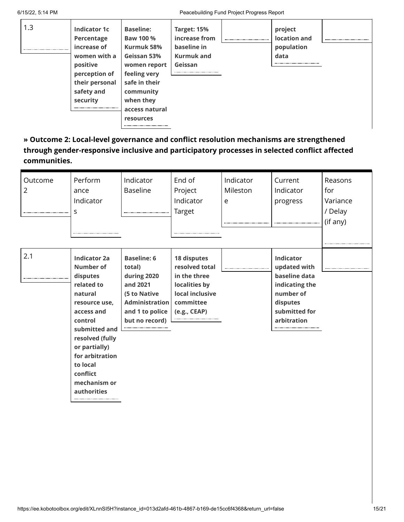| 1.3 | Indicator 1c<br>Percentage<br>increase of<br>women with a<br>positive<br>perception of<br>their personal<br>safety and<br>security | <b>Baseline:</b><br><b>Baw 100 %</b><br>Kurmuk 58%<br>Geissan 53%<br>women report<br>feeling very<br>safe in their<br>community<br>when they<br>access natural<br>resources | Target: 15%<br>increase from<br>baseline in<br><b>Kurmuk and</b><br>Geissan | project<br>location and<br>population<br>data |  |
|-----|------------------------------------------------------------------------------------------------------------------------------------|-----------------------------------------------------------------------------------------------------------------------------------------------------------------------------|-----------------------------------------------------------------------------|-----------------------------------------------|--|
|     |                                                                                                                                    |                                                                                                                                                                             |                                                                             |                                               |  |

**» Outcome 2: Local-level governance and conflict resolution mechanisms are strengthened through gender-responsive inclusive and participatory processes in selected conflict affected communities.**

| Outcome<br>$\overline{2}$ | Perform<br>ance<br>Indicator<br>S                                                                                                                                                                                                              | Indicator<br><b>Baseline</b>                                                                                                          | End of<br>Project<br>Indicator<br>Target                                                                       | Indicator<br>Mileston<br>e | Current<br>Indicator<br>progress                                                                                             | Reasons<br>for<br>Variance<br>/ Delay<br>(if any) |
|---------------------------|------------------------------------------------------------------------------------------------------------------------------------------------------------------------------------------------------------------------------------------------|---------------------------------------------------------------------------------------------------------------------------------------|----------------------------------------------------------------------------------------------------------------|----------------------------|------------------------------------------------------------------------------------------------------------------------------|---------------------------------------------------|
| 2.1                       | <b>Indicator 2a</b><br>Number of<br>disputes<br>related to<br>natural<br>resource use,<br>access and<br>control<br>submitted and<br>resolved (fully<br>or partially)<br>for arbitration<br>to local<br>conflict<br>mechanism or<br>authorities | <b>Baseline: 6</b><br>total)<br>during 2020<br>and 2021<br>(5 to Native<br><b>Administration</b><br>and 1 to police<br>but no record) | 18 disputes<br>resolved total<br>in the three<br>localities by<br>local inclusive<br>committee<br>(e.g., CEAP) |                            | <b>Indicator</b><br>updated with<br>baseline data<br>indicating the<br>number of<br>disputes<br>submitted for<br>arbitration |                                                   |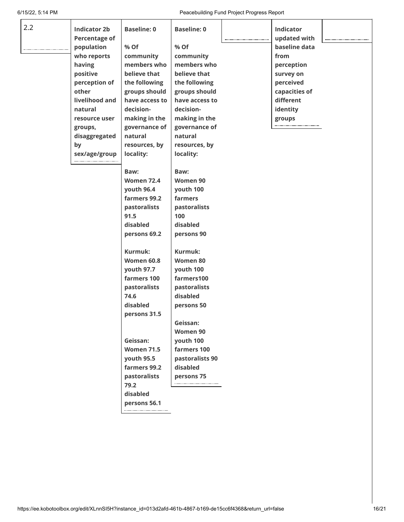6/15/22, 5:14 PM Peacebuilding Fund Project Progress Report

| 2.2 | <b>Indicator 2b</b>  | <b>Baseline: 0</b> | <b>Baseline: 0</b> | <b>Indicator</b> |  |
|-----|----------------------|--------------------|--------------------|------------------|--|
|     | <b>Percentage of</b> |                    |                    | updated with     |  |
|     | population           | % Of               | % Of               | baseline data    |  |
|     | who reports          | community          | community          | from             |  |
|     | having               | members who        | members who        | perception       |  |
|     | positive             | believe that       | believe that       | survey on        |  |
|     | perception of        | the following      | the following      | perceived        |  |
|     | other                | groups should      | groups should      | capacities of    |  |
|     | livelihood and       | have access to     | have access to     | different        |  |
|     | natural              | decision-          | decision-          | identity         |  |
|     | resource user        | making in the      | making in the      | groups           |  |
|     | groups,              | governance of      | governance of      |                  |  |
|     | disaggregated        | natural            | natural            |                  |  |
|     | by                   | resources, by      | resources, by      |                  |  |
|     | sex/age/group        | locality:          | locality:          |                  |  |
|     |                      | Baw:               | Baw:               |                  |  |
|     |                      | <b>Women 72.4</b>  | Women 90           |                  |  |
|     |                      | youth 96.4         | youth 100          |                  |  |
|     |                      | farmers 99.2       | farmers            |                  |  |
|     |                      | pastoralists       | pastoralists       |                  |  |
|     |                      | 91.5               | 100                |                  |  |
|     |                      | disabled           | disabled           |                  |  |
|     |                      | persons 69.2       | persons 90         |                  |  |
|     |                      |                    |                    |                  |  |
|     |                      | Kurmuk:            | Kurmuk:            |                  |  |
|     |                      | <b>Women 60.8</b>  | Women 80           |                  |  |
|     |                      | youth 97.7         | youth 100          |                  |  |
|     |                      | farmers 100        | farmers100         |                  |  |
|     |                      | pastoralists       | pastoralists       |                  |  |
|     |                      | 74.6               | disabled           |                  |  |
|     |                      | disabled           | persons 50         |                  |  |
|     |                      | persons 31.5       |                    |                  |  |
|     |                      |                    | Geissan:           |                  |  |
|     |                      |                    | Women 90           |                  |  |
|     |                      | Geissan:           | youth 100          |                  |  |
|     |                      | <b>Women 71.5</b>  | farmers 100        |                  |  |
|     |                      | youth 95.5         | pastoralists 90    |                  |  |
|     |                      | farmers 99.2       | disabled           |                  |  |
|     |                      | pastoralists       | persons 75         |                  |  |
|     |                      | 79.2               |                    |                  |  |
|     |                      | disabled           |                    |                  |  |
|     |                      | persons 56.1       |                    |                  |  |
|     |                      |                    |                    |                  |  |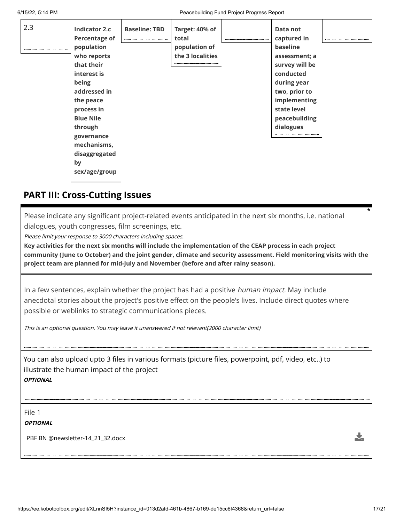| 2.3 | <b>Indicator 2.c</b> | <b>Baseline: TBD</b> | Target: 40% of   | Data not       |  |
|-----|----------------------|----------------------|------------------|----------------|--|
|     | <b>Percentage of</b> |                      | total            | captured in    |  |
|     | population           |                      | population of    | baseline       |  |
|     | who reports          |                      | the 3 localities | assessment; a  |  |
|     | that their           |                      |                  | survey will be |  |
|     | interest is          |                      |                  | conducted      |  |
|     | being                |                      |                  | during year    |  |
|     | addressed in         |                      |                  | two, prior to  |  |
|     | the peace            |                      |                  | implementing   |  |
|     | process in           |                      |                  | state level    |  |
|     | <b>Blue Nile</b>     |                      |                  | peacebuilding  |  |
|     | through              |                      |                  | dialogues      |  |
|     | governance           |                      |                  |                |  |
|     | mechanisms,          |                      |                  |                |  |
|     | disaggregated        |                      |                  |                |  |
|     | by                   |                      |                  |                |  |
|     | sex/age/group        |                      |                  |                |  |
|     |                      |                      |                  |                |  |

### **PART III: Cross-Cutting Issues**

Please indicate any significant project-related events anticipated in the next six months, i.e. national dialogues, youth congresses, film screenings, etc.

Please limit your response to 3000 characters including spaces.

**Key activities for the next six months will include the implementation of the CEAP process in each project community (June to October) and the joint gender, climate and security assessment. Field monitoring visits with the project team are planned for mid-July and November (before and after rainy season).**

In a few sentences, explain whether the project has had a positive *human impact*. May include anecdotal stories about the project's positive effect on the people's lives. Include direct quotes where possible or weblinks to strategic communications pieces.

This is an optional question. You may leave it unanswered if not relevant(2000 character limit)

You can also upload upto 3 files in various formats (picture files, powerpoint, pdf, video, etc..) to illustrate the human impact of the project **OPTIONAL**

File 1

**OPTIONAL**

PBF BN @newsletter-14\_21\_32.docx

J,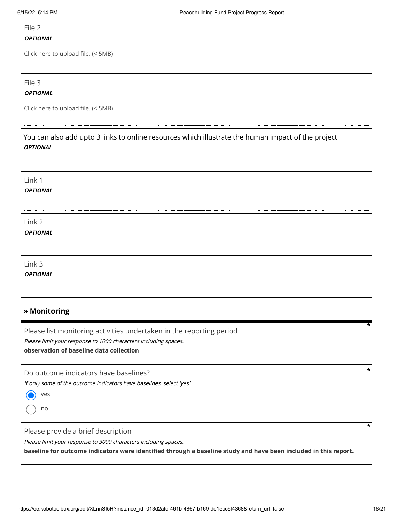Г

| File 2<br><b>OPTIONAL</b>                                                                                             |
|-----------------------------------------------------------------------------------------------------------------------|
| Click here to upload file. (< 5MB)                                                                                    |
| File 3<br><b>OPTIONAL</b>                                                                                             |
| Click here to upload file. (< 5MB)                                                                                    |
| You can also add upto 3 links to online resources which illustrate the human impact of the project<br><b>OPTIONAL</b> |
| Link 1<br><b>OPTIONAL</b>                                                                                             |
| Link 2<br><b>OPTIONAL</b>                                                                                             |
| Link 3<br><b>OPTIONAL</b>                                                                                             |

#### **» Monitoring**

Please list monitoring activities undertaken in the reporting period

Please limit your response to 1000 characters including spaces.

**observation of baseline data collection**

Do outcome indicators have baselines?

If only some of the outcome indicators have baselines, select 'yes'

yes

no

Please provide a brief description

..................................

Please limit your response to 3000 characters including spaces.

**baseline for outcome indicators were identified through a baseline study and have been included in this report.**

**\***

**\***

**\***

...................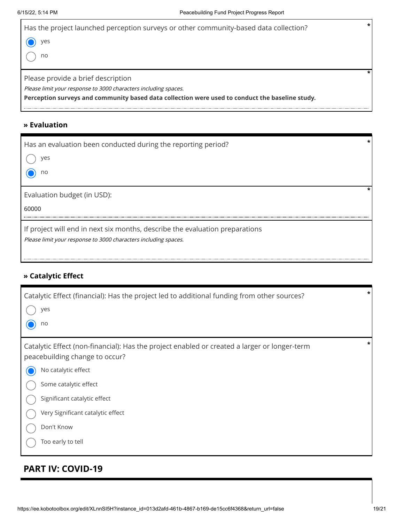| Has the project launched perception surveys or other community-based data collection?           | * |
|-------------------------------------------------------------------------------------------------|---|
| yes                                                                                             |   |
| no                                                                                              |   |
|                                                                                                 |   |
| Please provide a brief description                                                              |   |
| Please limit your response to 3000 characters including spaces.                                 |   |
| Perception surveys and community based data collection were used to conduct the baseline study. |   |
|                                                                                                 |   |

### **» Evaluation**

| Has an evaluation been conducted during the reporting period?<br>yes<br>no                                                                      |  |
|-------------------------------------------------------------------------------------------------------------------------------------------------|--|
| Evaluation budget (in USD):<br>60000                                                                                                            |  |
| If project will end in next six months, describe the evaluation preparations<br>Please limit your response to 3000 characters including spaces. |  |

### **» Catalytic Effect**

| Catalytic Effect (financial): Has the project led to additional funding from other sources?<br>yes<br>no                                              | * |
|-------------------------------------------------------------------------------------------------------------------------------------------------------|---|
| Catalytic Effect (non-financial): Has the project enabled or created a larger or longer-term<br>peacebuilding change to occur?<br>No catalytic effect | * |
| Some catalytic effect                                                                                                                                 |   |
| Significant catalytic effect<br>Very Significant catalytic effect                                                                                     |   |
| Don't Know                                                                                                                                            |   |
| Too early to tell                                                                                                                                     |   |

### **PART IV: COVID-19**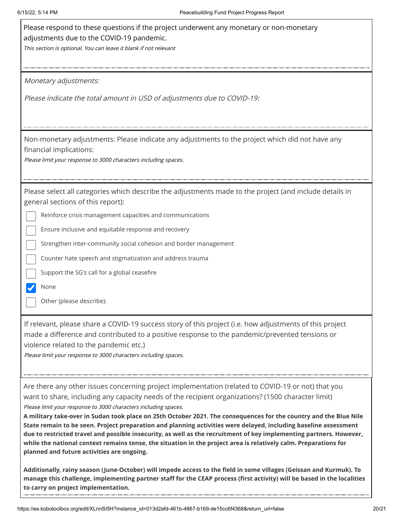| Please respond to these questions if the project underwent any monetary or non-monetary<br>adjustments due to the COVID-19 pandemic.<br>This section is optional. You can leave it blank if not relevant                                                                                                                                                                                                                                                                                                                                                                                                                                                                                                                                                                                                      |
|---------------------------------------------------------------------------------------------------------------------------------------------------------------------------------------------------------------------------------------------------------------------------------------------------------------------------------------------------------------------------------------------------------------------------------------------------------------------------------------------------------------------------------------------------------------------------------------------------------------------------------------------------------------------------------------------------------------------------------------------------------------------------------------------------------------|
| Monetary adjustments:                                                                                                                                                                                                                                                                                                                                                                                                                                                                                                                                                                                                                                                                                                                                                                                         |
| Please indicate the total amount in USD of adjustments due to COVID-19:                                                                                                                                                                                                                                                                                                                                                                                                                                                                                                                                                                                                                                                                                                                                       |
| Non-monetary adjustments: Please indicate any adjustments to the project which did not have any<br>financial implications:<br>Please limit your response to 3000 characters including spaces.                                                                                                                                                                                                                                                                                                                                                                                                                                                                                                                                                                                                                 |
| Please select all categories which describe the adjustments made to the project (and include details in<br>general sections of this report):                                                                                                                                                                                                                                                                                                                                                                                                                                                                                                                                                                                                                                                                  |
| Reinforce crisis management capacities and communications                                                                                                                                                                                                                                                                                                                                                                                                                                                                                                                                                                                                                                                                                                                                                     |
| Ensure inclusive and equitable response and recovery                                                                                                                                                                                                                                                                                                                                                                                                                                                                                                                                                                                                                                                                                                                                                          |
| Strengthen inter-community social cohesion and border management                                                                                                                                                                                                                                                                                                                                                                                                                                                                                                                                                                                                                                                                                                                                              |
| Counter hate speech and stigmatization and address trauma                                                                                                                                                                                                                                                                                                                                                                                                                                                                                                                                                                                                                                                                                                                                                     |
| Support the SG's call for a global ceasefire                                                                                                                                                                                                                                                                                                                                                                                                                                                                                                                                                                                                                                                                                                                                                                  |
| None                                                                                                                                                                                                                                                                                                                                                                                                                                                                                                                                                                                                                                                                                                                                                                                                          |
| Other (please describe):                                                                                                                                                                                                                                                                                                                                                                                                                                                                                                                                                                                                                                                                                                                                                                                      |
| If relevant, please share a COVID-19 success story of this project (i.e. how adjustments of this project<br>made a difference and contributed to a positive response to the pandemic/prevented tensions or<br>violence related to the pandemic etc.)<br>Please limit your response to 3000 characters including spaces.                                                                                                                                                                                                                                                                                                                                                                                                                                                                                       |
| Are there any other issues concerning project implementation (related to COVID-19 or not) that you<br>want to share, including any capacity needs of the recipient organizations? (1500 character limit)<br>Please limit your response to 3000 characters including spaces.<br>A military take-over in Sudan took place on 25th October 2021. The consequences for the country and the Blue Nile<br>State remain to be seen. Project preparation and planning activities were delayed, including baseline assessment<br>due to restricted travel and possible insecurity, as well as the recruitment of key implementing partners. However,<br>while the national context remains tense, the situation in the project area is relatively calm. Preparations for<br>planned and future activities are ongoing. |
| Additionally, rainy season (June-October) will impede access to the field in some villages (Geissan and Kurmuk). To<br>manage this challenge, implementing partner staff for the CEAP process (first activity) will be based in the localities<br>to carry on project implementation.                                                                                                                                                                                                                                                                                                                                                                                                                                                                                                                         |